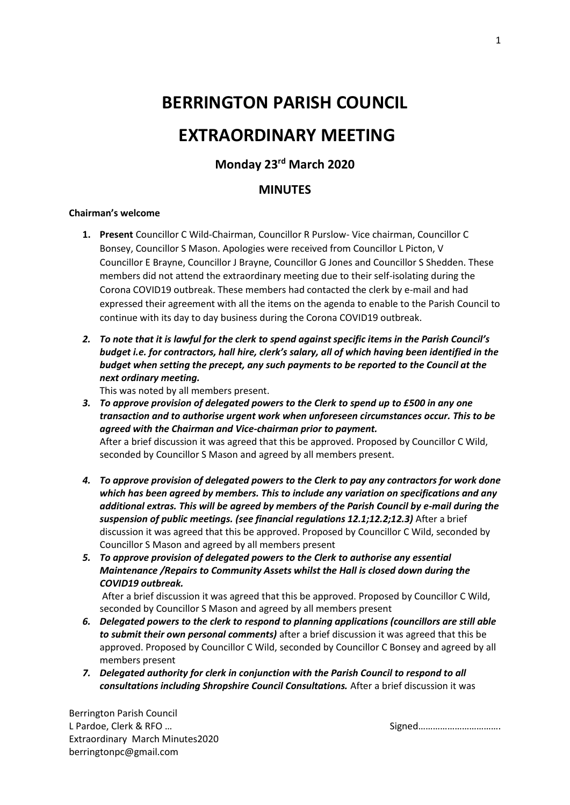## **BERRINGTON PARISH COUNCIL**

# **EXTRAORDINARY MEETING**

### **Monday 23rd March 2020**

#### **MINUTES**

#### **Chairman's welcome**

- **1. Present** Councillor C Wild-Chairman, Councillor R Purslow- Vice chairman, Councillor C Bonsey, Councillor S Mason. Apologies were received from Councillor L Picton, V Councillor E Brayne, Councillor J Brayne, Councillor G Jones and Councillor S Shedden. These members did not attend the extraordinary meeting due to their self-isolating during the Corona COVID19 outbreak. These members had contacted the clerk by e-mail and had expressed their agreement with all the items on the agenda to enable to the Parish Council to continue with its day to day business during the Corona COVID19 outbreak.
- *2. To note that it is lawful for the clerk to spend against specific items in the Parish Council's budget i.e. for contractors, hall hire, clerk's salary, all of which having been identified in the budget when setting the precept, any such payments to be reported to the Council at the next ordinary meeting.*

This was noted by all members present.

*3. To approve provision of delegated powers to the Clerk to spend up to £500 in any one transaction and to authorise urgent work when unforeseen circumstances occur. This to be agreed with the Chairman and Vice-chairman prior to payment.* After a brief discussion it was agreed that this be approved. Proposed by Councillor C Wild,

seconded by Councillor S Mason and agreed by all members present.

- *4. To approve provision of delegated powers to the Clerk to pay any contractors for work done which has been agreed by members. This to include any variation on specifications and any additional extras. This will be agreed by members of the Parish Council by e-mail during the suspension of public meetings. (see financial regulations 12.1;12.2;12.3)* After a brief discussion it was agreed that this be approved. Proposed by Councillor C Wild, seconded by Councillor S Mason and agreed by all members present
- *5. To approve provision of delegated powers to the Clerk to authorise any essential Maintenance /Repairs to Community Assets whilst the Hall is closed down during the COVID19 outbreak.*

After a brief discussion it was agreed that this be approved. Proposed by Councillor C Wild, seconded by Councillor S Mason and agreed by all members present

- *6. Delegated powers to the clerk to respond to planning applications (councillors are still able to submit their own personal comments)* after a brief discussion it was agreed that this be approved. Proposed by Councillor C Wild, seconded by Councillor C Bonsey and agreed by all members present
- *7. Delegated authority for clerk in conjunction with the Parish Council to respond to all consultations including Shropshire Council Consultations.* After a brief discussion it was

Berrington Parish Council L Pardoe, Clerk & RFO … Signed……………………………. Extraordinary March Minutes2020 berringtonpc@gmail.com